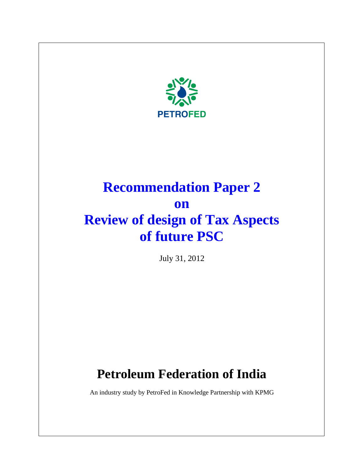

# **Recommendation Paper 2 on Review of design of Tax Aspects of future PSC**

July 31, 2012

# **Petroleum Federation of India**

An industry study by PetroFed in Knowledge Partnership with KPMG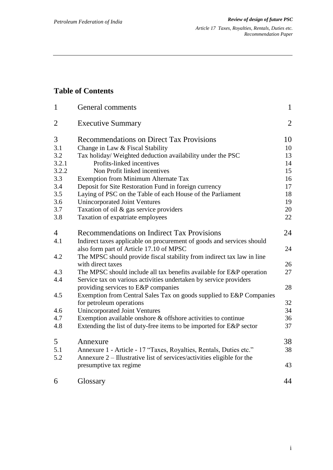## **Table of Contents**

| $\mathbf{1}$   | General comments                                                                                                                          | $\mathbf{1}$   |
|----------------|-------------------------------------------------------------------------------------------------------------------------------------------|----------------|
| $\overline{2}$ | <b>Executive Summary</b>                                                                                                                  | $\overline{2}$ |
| 3              | <b>Recommendations on Direct Tax Provisions</b>                                                                                           | 10             |
| 3.1            | Change in Law & Fiscal Stability                                                                                                          | 10             |
| 3.2            | Tax holiday/ Weighted deduction availability under the PSC                                                                                | 13             |
| 3.2.1          | Profits-linked incentives                                                                                                                 | 14             |
| 3.2.2          | Non Profit linked incentives                                                                                                              | 15             |
| 3.3            | Exemption from Minimum Alternate Tax                                                                                                      | 16             |
| 3.4            | Deposit for Site Restoration Fund in foreign currency                                                                                     | 17             |
| 3.5            | Laying of PSC on the Table of each House of the Parliament                                                                                | 18             |
| 3.6            | Unincorporated Joint Ventures                                                                                                             | 19             |
| 3.7            | Taxation of oil & gas service providers                                                                                                   | 20             |
| 3.8            | Taxation of expatriate employees                                                                                                          | 22             |
| 4              | Recommendations on Indirect Tax Provisions                                                                                                | 24             |
| 4.1            | Indirect taxes applicable on procurement of goods and services should<br>also form part of Article 17.10 of MPSC                          | 24             |
| 4.2            | The MPSC should provide fiscal stability from indirect tax law in line                                                                    |                |
|                | with direct taxes                                                                                                                         | 26             |
| 4.3<br>4.4     | The MPSC should include all tax benefits available for E&P operation<br>Service tax on various activities undertaken by service providers | 27             |
|                | providing services to E&P companies                                                                                                       | 28             |
| 4.5            | Exemption from Central Sales Tax on goods supplied to E&P Companies                                                                       |                |
|                | for petroleum operations                                                                                                                  | 32             |
| 4.6            | <b>Unincorporated Joint Ventures</b>                                                                                                      | 34             |
| 4.7            | Exemption available onshore & offshore activities to continue                                                                             | 36             |
| 4.8            | Extending the list of duty-free items to be imported for E&P sector                                                                       | 37             |
| 5              | Annexure                                                                                                                                  | 38             |
| 5.1            | Annexure 1 - Article - 17 "Taxes, Royalties, Rentals, Duties etc."                                                                        | 38             |
| 5.2            | Annexure 2 – Illustrative list of services/activities eligible for the<br>presumptive tax regime                                          | 43             |
| 6              | Glossary                                                                                                                                  | 44             |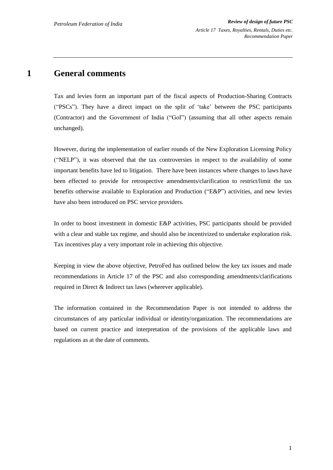## **1 General comments**

Tax and levies form an important part of the fiscal aspects of Production-Sharing Contracts ("PSCs"). They have a direct impact on the split of "take" between the PSC participants (Contractor) and the Government of India ("GoI") (assuming that all other aspects remain unchanged).

However, during the implementation of earlier rounds of the New Exploration Licensing Policy ("NELP"), it was observed that the tax controversies in respect to the availability of some important benefits have led to litigation. There have been instances where changes to laws have been effected to provide for retrospective amendments/clarification to restrict/limit the tax benefits otherwise available to Exploration and Production ("E&P") activities, and new levies have also been introduced on PSC service providers.

In order to boost investment in domestic E&P activities, PSC participants should be provided with a clear and stable tax regime, and should also be incentivized to undertake exploration risk. Tax incentives play a very important role in achieving this objective.

Keeping in view the above objective, PetroFed has outlined below the key tax issues and made recommendations in Article 17 of the PSC and also corresponding amendments/clarifications required in Direct & Indirect tax laws (wherever applicable).

The information contained in the Recommendation Paper is not intended to address the circumstances of any particular individual or identity/organization. The recommendations are based on current practice and interpretation of the provisions of the applicable laws and regulations as at the date of comments.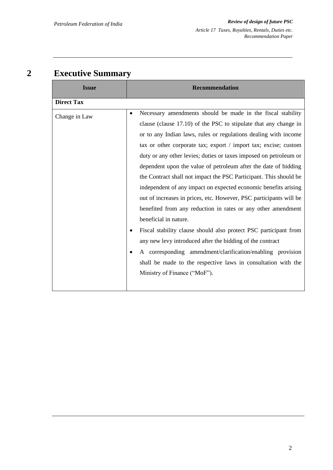## **2 Executive Summary**

| <b>Issue</b>      | <b>Recommendation</b>                                                                                                                                                                                                                                                                                                                                                                                                                                                                                                                                                                                                                                                                                                                                                                                                                                                                                                                                                                                                             |
|-------------------|-----------------------------------------------------------------------------------------------------------------------------------------------------------------------------------------------------------------------------------------------------------------------------------------------------------------------------------------------------------------------------------------------------------------------------------------------------------------------------------------------------------------------------------------------------------------------------------------------------------------------------------------------------------------------------------------------------------------------------------------------------------------------------------------------------------------------------------------------------------------------------------------------------------------------------------------------------------------------------------------------------------------------------------|
| <b>Direct Tax</b> |                                                                                                                                                                                                                                                                                                                                                                                                                                                                                                                                                                                                                                                                                                                                                                                                                                                                                                                                                                                                                                   |
| Change in Law     | Necessary amendments should be made in the fiscal stability<br>$\bullet$<br>clause (clause 17.10) of the PSC to stipulate that any change in<br>or to any Indian laws, rules or regulations dealing with income<br>tax or other corporate tax; export / import tax; excise; custom<br>duty or any other levies; duties or taxes imposed on petroleum or<br>dependent upon the value of petroleum after the date of bidding<br>the Contract shall not impact the PSC Participant. This should be<br>independent of any impact on expected economic benefits arising<br>out of increases in prices, etc. However, PSC participants will be<br>benefited from any reduction in rates or any other amendment<br>beneficial in nature.<br>Fiscal stability clause should also protect PSC participant from<br>any new levy introduced after the bidding of the contract<br>A corresponding amendment/clarification/enabling provision<br>shall be made to the respective laws in consultation with the<br>Ministry of Finance ("MoF"). |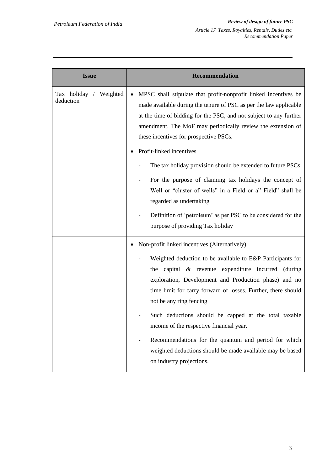| <b>Issue</b>                        | Recommendation                                                                                                                                                                                                                                                                                                                                                                                                                                                                                                                                                              |
|-------------------------------------|-----------------------------------------------------------------------------------------------------------------------------------------------------------------------------------------------------------------------------------------------------------------------------------------------------------------------------------------------------------------------------------------------------------------------------------------------------------------------------------------------------------------------------------------------------------------------------|
| Tax holiday / Weighted<br>deduction | MPSC shall stipulate that profit-nonprofit linked incentives be<br>made available during the tenure of PSC as per the law applicable<br>at the time of bidding for the PSC, and not subject to any further<br>amendment. The MoF may periodically review the extension of<br>these incentives for prospective PSCs.<br>Profit-linked incentives<br>The tax holiday provision should be extended to future PSCs                                                                                                                                                              |
|                                     | For the purpose of claiming tax holidays the concept of<br>Well or "cluster of wells" in a Field or a" Field" shall be<br>regarded as undertaking<br>Definition of 'petroleum' as per PSC to be considered for the<br>purpose of providing Tax holiday                                                                                                                                                                                                                                                                                                                      |
|                                     | Non-profit linked incentives (Alternatively)<br>Weighted deduction to be available to E&P Participants for<br>the capital & revenue expenditure incurred (during<br>exploration, Development and Production phase) and no<br>time limit for carry forward of losses. Further, there should<br>not be any ring fencing<br>Such deductions should be capped at the total taxable<br>income of the respective financial year.<br>Recommendations for the quantum and period for which<br>weighted deductions should be made available may be based<br>on industry projections. |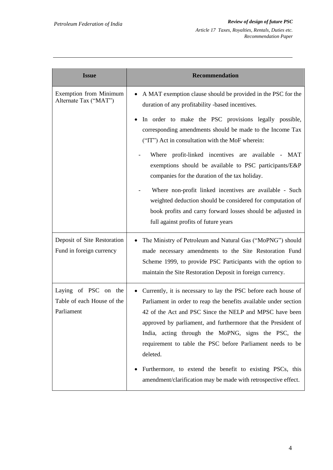| <b>Issue</b>                                                     | <b>Recommendation</b>                                                                                                                                                                                                                                                                                                                                                                                                                                                                                                          |
|------------------------------------------------------------------|--------------------------------------------------------------------------------------------------------------------------------------------------------------------------------------------------------------------------------------------------------------------------------------------------------------------------------------------------------------------------------------------------------------------------------------------------------------------------------------------------------------------------------|
| Exemption from Minimum<br>Alternate Tax ("MAT")                  | A MAT exemption clause should be provided in the PSC for the<br>duration of any profitability -based incentives.                                                                                                                                                                                                                                                                                                                                                                                                               |
|                                                                  | In order to make the PSC provisions legally possible,<br>corresponding amendments should be made to the Income Tax<br>("IT") Act in consultation with the MoF wherein:                                                                                                                                                                                                                                                                                                                                                         |
|                                                                  | Where profit-linked incentives are available - MAT<br>exemptions should be available to PSC participants/E&P<br>companies for the duration of the tax holiday.                                                                                                                                                                                                                                                                                                                                                                 |
|                                                                  | Where non-profit linked incentives are available - Such<br>weighted deduction should be considered for computation of<br>book profits and carry forward losses should be adjusted in<br>full against profits of future years                                                                                                                                                                                                                                                                                                   |
| Deposit of Site Restoration<br>Fund in foreign currency          | The Ministry of Petroleum and Natural Gas ("MoPNG") should<br>made necessary amendments to the Site Restoration Fund<br>Scheme 1999, to provide PSC Participants with the option to<br>maintain the Site Restoration Deposit in foreign currency.                                                                                                                                                                                                                                                                              |
| Laying of PSC on the<br>Table of each House of the<br>Parliament | Currently, it is necessary to lay the PSC before each house of<br>Parliament in order to reap the benefits available under section<br>42 of the Act and PSC Since the NELP and MPSC have been<br>approved by parliament, and furthermore that the President of<br>India, acting through the MoPNG, signs the PSC, the<br>requirement to table the PSC before Parliament needs to be<br>deleted.<br>Furthermore, to extend the benefit to existing PSCs, this<br>amendment/clarification may be made with retrospective effect. |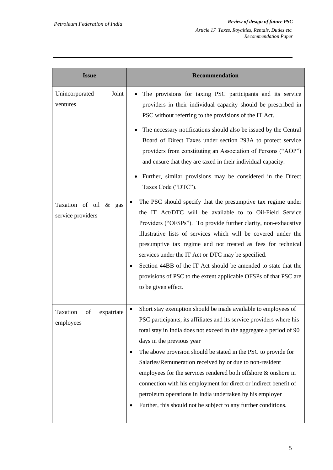| <b>Issue</b>                               | <b>Recommendation</b>                                                                                                                                                                                                                                                                                                                                                                                                                                                                                                                                                                                                                                       |
|--------------------------------------------|-------------------------------------------------------------------------------------------------------------------------------------------------------------------------------------------------------------------------------------------------------------------------------------------------------------------------------------------------------------------------------------------------------------------------------------------------------------------------------------------------------------------------------------------------------------------------------------------------------------------------------------------------------------|
| Joint<br>Unincorporated<br>ventures        | The provisions for taxing PSC participants and its service<br>providers in their individual capacity should be prescribed in<br>PSC without referring to the provisions of the IT Act.                                                                                                                                                                                                                                                                                                                                                                                                                                                                      |
|                                            | The necessary notifications should also be issued by the Central<br>Board of Direct Taxes under section 293A to protect service<br>providers from constituting an Association of Persons ("AOP")<br>and ensure that they are taxed in their individual capacity.<br>Further, similar provisions may be considered in the Direct<br>Taxes Code ("DTC").                                                                                                                                                                                                                                                                                                      |
| Taxation of oil & gas<br>service providers | The PSC should specify that the presumptive tax regime under<br>$\bullet$<br>the IT Act/DTC will be available to to Oil-Field Service<br>Providers ("OFSPs"). To provide further clarity, non-exhaustive<br>illustrative lists of services which will be covered under the<br>presumptive tax regime and not treated as fees for technical<br>services under the IT Act or DTC may be specified.<br>Section 44BB of the IT Act should be amended to state that the<br>provisions of PSC to the extent applicable OFSPs of that PSC are<br>to be given effect.                                                                                               |
| Taxation<br>of<br>expatriate<br>employees  | Short stay exemption should be made available to employees of<br>$\bullet$<br>PSC participants, its affiliates and its service providers where his<br>total stay in India does not exceed in the aggregate a period of 90<br>days in the previous year<br>The above provision should be stated in the PSC to provide for<br>Salaries/Remuneration received by or due to non-resident<br>employees for the services rendered both offshore $\&$ onshore in<br>connection with his employment for direct or indirect benefit of<br>petroleum operations in India undertaken by his employer<br>Further, this should not be subject to any further conditions. |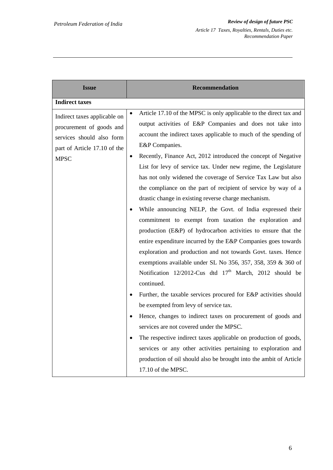| <b>Issue</b>                                                                                                                         | <b>Recommendation</b>                                                                                                                                                                                                                                                                                                                                                                                                                                                                                                                                                                                                                                                                                                                                                                                                                                                                                                                                                                                                                                                                                                                                                                                                                                                                                                                                                                                                                                                                                                                               |
|--------------------------------------------------------------------------------------------------------------------------------------|-----------------------------------------------------------------------------------------------------------------------------------------------------------------------------------------------------------------------------------------------------------------------------------------------------------------------------------------------------------------------------------------------------------------------------------------------------------------------------------------------------------------------------------------------------------------------------------------------------------------------------------------------------------------------------------------------------------------------------------------------------------------------------------------------------------------------------------------------------------------------------------------------------------------------------------------------------------------------------------------------------------------------------------------------------------------------------------------------------------------------------------------------------------------------------------------------------------------------------------------------------------------------------------------------------------------------------------------------------------------------------------------------------------------------------------------------------------------------------------------------------------------------------------------------------|
| <b>Indirect taxes</b>                                                                                                                |                                                                                                                                                                                                                                                                                                                                                                                                                                                                                                                                                                                                                                                                                                                                                                                                                                                                                                                                                                                                                                                                                                                                                                                                                                                                                                                                                                                                                                                                                                                                                     |
| Indirect taxes applicable on<br>procurement of goods and<br>services should also form<br>part of Article 17.10 of the<br><b>MPSC</b> | Article 17.10 of the MPSC is only applicable to the direct tax and<br>$\bullet$<br>output activities of E&P Companies and does not take into<br>account the indirect taxes applicable to much of the spending of<br>E&P Companies.<br>Recently, Finance Act, 2012 introduced the concept of Negative<br>$\bullet$<br>List for levy of service tax. Under new regime, the Legislature<br>has not only widened the coverage of Service Tax Law but also<br>the compliance on the part of recipient of service by way of a<br>drastic change in existing reverse charge mechanism.<br>While announcing NELP, the Govt. of India expressed their<br>$\bullet$<br>commitment to exempt from taxation the exploration and<br>production (E&P) of hydrocarbon activities to ensure that the<br>entire expenditure incurred by the E&P Companies goes towards<br>exploration and production and not towards Govt. taxes. Hence<br>exemptions available under SL No $356$ , $357$ , $358$ , $359$ & $360$ of<br>Notification 12/2012-Cus dtd 17 <sup>th</sup> March, 2012 should be<br>continued.<br>Further, the taxable services procured for E&P activities should<br>be exempted from levy of service tax.<br>Hence, changes to indirect taxes on procurement of goods and<br>services are not covered under the MPSC.<br>The respective indirect taxes applicable on production of goods,<br>services or any other activities pertaining to exploration and<br>production of oil should also be brought into the ambit of Article<br>17.10 of the MPSC. |
|                                                                                                                                      |                                                                                                                                                                                                                                                                                                                                                                                                                                                                                                                                                                                                                                                                                                                                                                                                                                                                                                                                                                                                                                                                                                                                                                                                                                                                                                                                                                                                                                                                                                                                                     |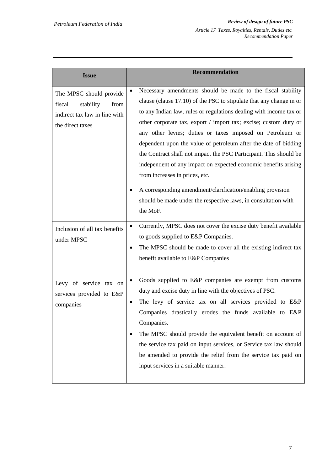| <b>Issue</b>                                                                                                | <b>Recommendation</b>                                                                                                                                                                                                                                                                                                                                                                                                                                                                                                                                                                                                                                                                                                              |
|-------------------------------------------------------------------------------------------------------------|------------------------------------------------------------------------------------------------------------------------------------------------------------------------------------------------------------------------------------------------------------------------------------------------------------------------------------------------------------------------------------------------------------------------------------------------------------------------------------------------------------------------------------------------------------------------------------------------------------------------------------------------------------------------------------------------------------------------------------|
| The MPSC should provide<br>fiscal<br>stability<br>from<br>indirect tax law in line with<br>the direct taxes | Necessary amendments should be made to the fiscal stability<br>clause (clause 17.10) of the PSC to stipulate that any change in or<br>to any Indian law, rules or regulations dealing with income tax or<br>other corporate tax, export / import tax; excise; custom duty or<br>any other levies; duties or taxes imposed on Petroleum or<br>dependent upon the value of petroleum after the date of bidding<br>the Contract shall not impact the PSC Participant. This should be<br>independent of any impact on expected economic benefits arising<br>from increases in prices, etc.<br>A corresponding amendment/clarification/enabling provision<br>should be made under the respective laws, in consultation with<br>the MoF. |
| Inclusion of all tax benefits<br>under MPSC                                                                 | Currently, MPSC does not cover the excise duty benefit available<br>to goods supplied to E&P Companies.<br>The MPSC should be made to cover all the existing indirect tax<br>$\bullet$<br>benefit available to E&P Companies                                                                                                                                                                                                                                                                                                                                                                                                                                                                                                       |
| Levy of service tax on<br>services provided to E&P<br>companies                                             | Goods supplied to E&P companies are exempt from customs<br>$\bullet$<br>duty and excise duty in line with the objectives of PSC.<br>The levy of service tax on all services provided to E&P<br>$\bullet$<br>Companies drastically erodes the funds available to E&P<br>Companies.<br>The MPSC should provide the equivalent benefit on account of<br>the service tax paid on input services, or Service tax law should<br>be amended to provide the relief from the service tax paid on<br>input services in a suitable manner.                                                                                                                                                                                                    |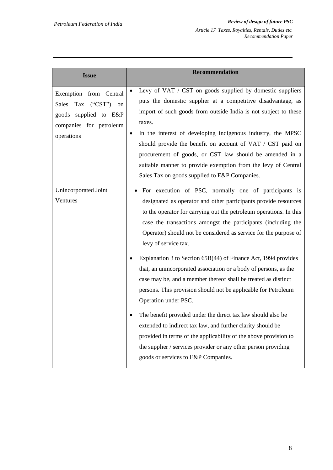| <b>Issue</b>                                                                                                           | <b>Recommendation</b>                                                                                                                                                                                                                                                                                                                                                                                                                                                                                                                                                                                                                                                                                                                                                                                                                                                                                                                                                     |
|------------------------------------------------------------------------------------------------------------------------|---------------------------------------------------------------------------------------------------------------------------------------------------------------------------------------------------------------------------------------------------------------------------------------------------------------------------------------------------------------------------------------------------------------------------------------------------------------------------------------------------------------------------------------------------------------------------------------------------------------------------------------------------------------------------------------------------------------------------------------------------------------------------------------------------------------------------------------------------------------------------------------------------------------------------------------------------------------------------|
| Exemption from Central<br>Tax ("CST") on<br>Sales<br>supplied to E&P<br>goods<br>companies for petroleum<br>operations | Levy of VAT / CST on goods supplied by domestic suppliers<br>puts the domestic supplier at a competitive disadvantage, as<br>import of such goods from outside India is not subject to these<br>taxes.<br>In the interest of developing indigenous industry, the MPSC<br>٠<br>should provide the benefit on account of VAT / CST paid on<br>procurement of goods, or CST law should be amended in a<br>suitable manner to provide exemption from the levy of Central<br>Sales Tax on goods supplied to E&P Companies.                                                                                                                                                                                                                                                                                                                                                                                                                                                     |
| Unincorporated Joint<br>Ventures                                                                                       | For execution of PSC, normally one of participants is<br>designated as operator and other participants provide resources<br>to the operator for carrying out the petroleum operations. In this<br>case the transactions amongst the participants (including the<br>Operator) should not be considered as service for the purpose of<br>levy of service tax.<br>Explanation 3 to Section 65B(44) of Finance Act, 1994 provides<br>that, an unincorporated association or a body of persons, as the<br>case may be, and a member thereof shall be treated as distinct<br>persons. This provision should not be applicable for Petroleum<br>Operation under PSC.<br>The benefit provided under the direct tax law should also be<br>extended to indirect tax law, and further clarity should be<br>provided in terms of the applicability of the above provision to<br>the supplier / services provider or any other person providing<br>goods or services to E&P Companies. |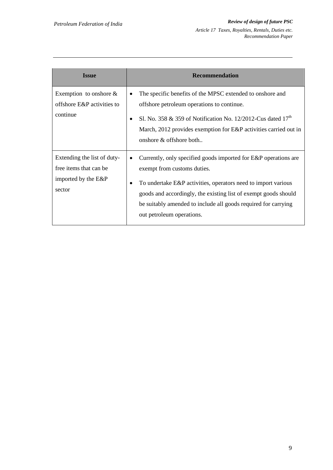| <b>Issue</b>                                                                            | <b>Recommendation</b>                                                                                                                                                                                                                                                                                                                  |
|-----------------------------------------------------------------------------------------|----------------------------------------------------------------------------------------------------------------------------------------------------------------------------------------------------------------------------------------------------------------------------------------------------------------------------------------|
| Exemption to onshore $\&$<br>offshore E&P activities to<br>continue                     | The specific benefits of the MPSC extended to onshore and<br>٠<br>offshore petroleum operations to continue.<br>Sl. No. 358 & 359 of Notification No. 12/2012-Cus dated $17th$<br>٠<br>March, 2012 provides exemption for E&P activities carried out in<br>onshore $\&$ offshore both                                                  |
| Extending the list of duty-<br>free items that can be.<br>imported by the E&P<br>sector | Currently, only specified goods imported for E&P operations are<br>exempt from customs duties.<br>To undertake E&P activities, operators need to import various<br>٠<br>goods and accordingly, the existing list of exempt goods should<br>be suitably amended to include all goods required for carrying<br>out petroleum operations. |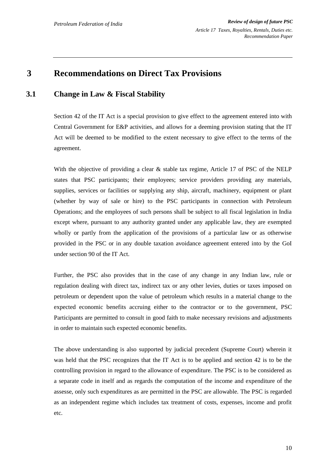## **3 Recommendations on Direct Tax Provisions**

## **3.1 Change in Law & Fiscal Stability**

Section 42 of the IT Act is a special provision to give effect to the agreement entered into with Central Government for E&P activities, and allows for a deeming provision stating that the IT Act will be deemed to be modified to the extent necessary to give effect to the terms of the agreement.

With the objective of providing a clear & stable tax regime, Article 17 of PSC of the NELP states that PSC participants; their employees; service providers providing any materials, supplies, services or facilities or supplying any ship, aircraft, machinery, equipment or plant (whether by way of sale or hire) to the PSC participants in connection with Petroleum Operations; and the employees of such persons shall be subject to all fiscal legislation in India except where, pursuant to any authority granted under any applicable law, they are exempted wholly or partly from the application of the provisions of a particular law or as otherwise provided in the PSC or in any double taxation avoidance agreement entered into by the GoI under section 90 of the IT Act.

Further, the PSC also provides that in the case of any change in any Indian law, rule or regulation dealing with direct tax, indirect tax or any other levies, duties or taxes imposed on petroleum or dependent upon the value of petroleum which results in a material change to the expected economic benefits accruing either to the contractor or to the government, PSC Participants are permitted to consult in good faith to make necessary revisions and adjustments in order to maintain such expected economic benefits.

The above understanding is also supported by judicial precedent (Supreme Court) wherein it was held that the PSC recognizes that the IT Act is to be applied and section 42 is to be the controlling provision in regard to the allowance of expenditure. The PSC is to be considered as a separate code in itself and as regards the computation of the income and expenditure of the assesse, only such expenditures as are permitted in the PSC are allowable. The PSC is regarded as an independent regime which includes tax treatment of costs, expenses, income and profit etc.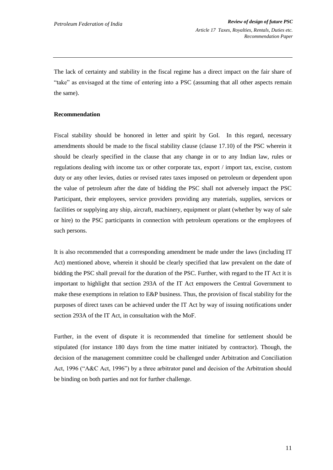The lack of certainty and stability in the fiscal regime has a direct impact on the fair share of "take" as envisaged at the time of entering into a PSC (assuming that all other aspects remain the same).

#### **Recommendation**

Fiscal stability should be honored in letter and spirit by GoI. In this regard, necessary amendments should be made to the fiscal stability clause (clause 17.10) of the PSC wherein it should be clearly specified in the clause that any change in or to any Indian law, rules or regulations dealing with income tax or other corporate tax, export / import tax, excise, custom duty or any other levies, duties or revised rate*s* taxes imposed on petroleum or dependent upon the value of petroleum after the date of bidding the PSC shall not adversely impact the PSC Participant, their employees, service providers providing any materials, supplies, services or facilities or supplying any ship, aircraft, machinery, equipment or plant (whether by way of sale or hire) to the PSC participants in connection with petroleum operations or the employees of such persons.

It is also recommended that a corresponding amendment be made under the laws (including IT Act) mentioned above, wherein it should be clearly specified that law prevalent on the date of bidding the PSC shall prevail for the duration of the PSC. Further, with regard to the IT Act it is important to highlight that section 293A of the IT Act empowers the Central Government to make these exemptions in relation to E&P business. Thus, the provision of fiscal stability for the purposes of direct taxes can be achieved under the IT Act by way of issuing notifications under section 293A of the IT Act, in consultation with the MoF.

Further, in the event of dispute it is recommended that timeline for settlement should be stipulated (for instance 180 days from the time matter initiated by contractor). Though, the decision of the management committee could be challenged under Arbitration and Conciliation Act, 1996 ("A&C Act, 1996") by a three arbitrator panel and decision of the Arbitration should be binding on both parties and not for further challenge.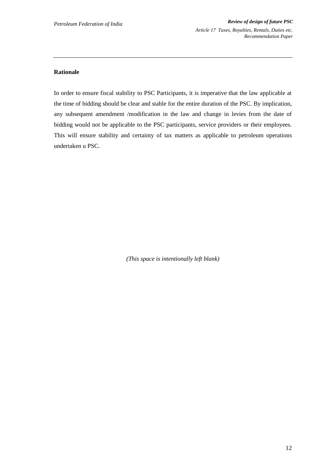#### **Rationale**

In order to ensure fiscal stability to PSC Participants, it is imperative that the law applicable at the time of bidding should be clear and stable for the entire duration of the PSC. By implication, any subsequent amendment /modification in the law and change in levies from the date of bidding would not be applicable to the PSC participants, service providers or their employees. This will ensure stability and certainty of tax matters as applicable to petroleum operations undertaken u PSC.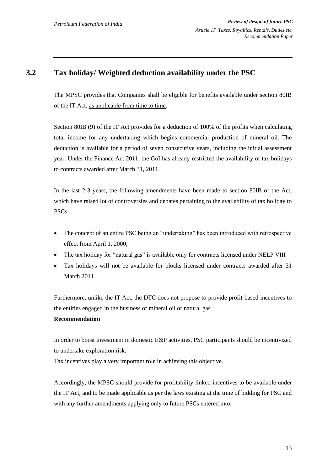## **3.2 Tax holiday/ Weighted deduction availability under the PSC**

The MPSC provides that Companies shall be eligible for benefits available under section 80IB of the IT Act, as applicable from time to time.

Section 80IB (9) of the IT Act provides for a deduction of 100% of the profits when calculating total income for any undertaking which begins commercial production of mineral oil. The deduction is available for a period of seven consecutive years, including the initial assessment year. Under the Finance Act 2011, the GoI has already restricted the availability of tax holidays to contracts awarded after March 31, 2011.

In the last 2-3 years, the following amendments have been made to section 80IB of the Act, which have raised lot of controversies and debates pertaining to the availability of tax holiday to PSCs:

- The concept of an entire PSC being an "undertaking" has been introduced with retrospective effect from April 1, 2000;
- The tax holiday for "natural gas" is available only for contracts licensed under NELP VIII
- Tax holidays will not be available for blocks licensed under contracts awarded after 31 March 2011

Furthermore, unlike the IT Act, the DTC does not propose to provide profit-based incentives to the entities engaged in the business of mineral oil or natural gas.

#### **Recommendation**

In order to boost investment in domestic E&P activities, PSC participants should be incentivized to undertake exploration risk.

Tax incentives play a very important role in achieving this objective.

Accordingly, the MPSC should provide for profitability-linked incentives to be available under the IT Act, and to be made applicable as per the laws existing at the time of bidding for PSC and with any further amendments applying only to future PSCs entered into.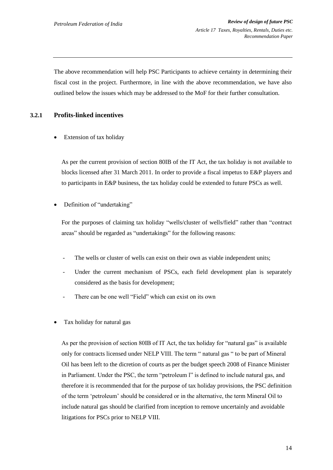The above recommendation will help PSC Participants to achieve certainty in determining their fiscal cost in the project. Furthermore, in line with the above recommendation, we have also outlined below the issues which may be addressed to the MoF for their further consultation.

#### **3.2.1 Profits-linked incentives**

Extension of tax holiday

As per the current provision of section 80IB of the IT Act, the tax holiday is not available to blocks licensed after 31 March 2011. In order to provide a fiscal impetus to E&P players and to participants in E&P business, the tax holiday could be extended to future PSCs as well.

Definition of "undertaking"

For the purposes of claiming tax holiday "wells/cluster of wells/field" rather than "contract areas" should be regarded as "undertakings" for the following reasons:

- The wells or cluster of wells can exist on their own as viable independent units;
- Under the current mechanism of PSCs, each field development plan is separately considered as the basis for development;
- There can be one well "Field" which can exist on its own
- Tax holiday for natural gas

As per the provision of section 80IB of IT Act, the tax holiday for "natural gas" is available only for contracts licensed under NELP VIII. The term " natural gas " to be part of Mineral Oil has been left to the dicretion of courts as per the budget speech 2008 of Finance Minister in Parliament. Under the PSC, the term "petroleum l" is defined to include natural gas, and therefore it is recommended that for the purpose of tax holiday provisions, the PSC definition of the term "petroleum" should be considered or in the alternative, the term Mineral Oil to include natural gas should be clarified from inception to remove uncertainly and avoidable litigations for PSCs prior to NELP VIII.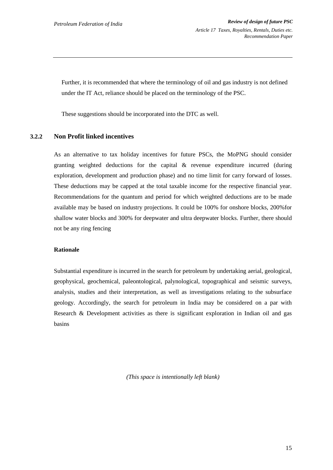Further, it is recommended that where the terminology of oil and gas industry is not defined under the IT Act, reliance should be placed on the terminology of the PSC.

These suggestions should be incorporated into the DTC as well.

#### **3.2.2 Non Profit linked incentives**

As an alternative to tax holiday incentives for future PSCs, the MoPNG should consider granting weighted deductions for the capital & revenue expenditure incurred (during exploration, development and production phase) and no time limit for carry forward of losses. These deductions may be capped at the total taxable income for the respective financial year. Recommendations for the quantum and period for which weighted deductions are to be made available may be based on industry projections. It could be 100% for onshore blocks, 200%for shallow water blocks and 300% for deepwater and ultra deepwater blocks. Further, there should not be any ring fencing

#### **Rationale**

Substantial expenditure is incurred in the search for petroleum by undertaking aerial, geological, geophysical, geochemical, paleontological, palynological, topographical and seismic surveys, analysis, studies and their interpretation, as well as investigations relating to the subsurface geology. Accordingly, the search for petroleum in India may be considered on a par with Research & Development activities as there is significant exploration in Indian oil and gas basins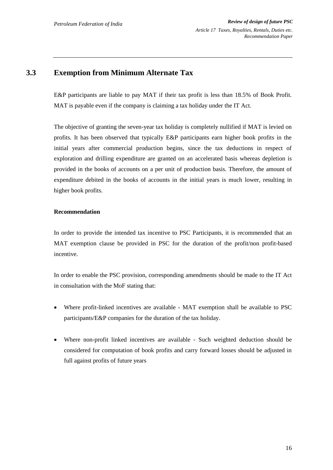## **3.3 Exemption from Minimum Alternate Tax**

E&P participants are liable to pay MAT if their tax profit is less than 18.5% of Book Profit. MAT is payable even if the company is claiming a tax holiday under the IT Act.

The objective of granting the seven-year tax holiday is completely nullified if MAT is levied on profits. It has been observed that typically E&P participants earn higher book profits in the initial years after commercial production begins, since the tax deductions in respect of exploration and drilling expenditure are granted on an accelerated basis whereas depletion is provided in the books of accounts on a per unit of production basis. Therefore, the amount of expenditure debited in the books of accounts in the initial years is much lower, resulting in higher book profits.

#### **Recommendation**

In order to provide the intended tax incentive to PSC Participants, it is recommended that an MAT exemption clause be provided in PSC for the duration of the profit/non profit-based incentive.

In order to enable the PSC provision, corresponding amendments should be made to the IT Act in consultation with the MoF stating that:

- Where profit-linked incentives are available MAT exemption shall be available to PSC participants/E&P companies for the duration of the tax holiday.
- Where non-profit linked incentives are available Such weighted deduction should be considered for computation of book profits and carry forward losses should be adjusted in full against profits of future years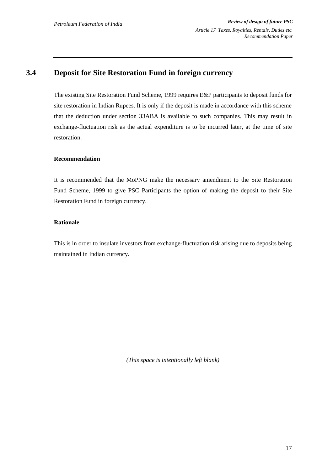## **3.4 Deposit for Site Restoration Fund in foreign currency**

The existing Site Restoration Fund Scheme, 1999 requires E&P participants to deposit funds for site restoration in Indian Rupees. It is only if the deposit is made in accordance with this scheme that the deduction under section 33ABA is available to such companies. This may result in exchange-fluctuation risk as the actual expenditure is to be incurred later, at the time of site restoration.

#### **Recommendation**

It is recommended that the MoPNG make the necessary amendment to the Site Restoration Fund Scheme, 1999 to give PSC Participants the option of making the deposit to their Site Restoration Fund in foreign currency.

#### **Rationale**

This is in order to insulate investors from exchange-fluctuation risk arising due to deposits being maintained in Indian currency.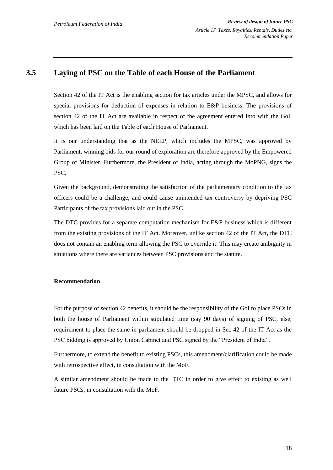### **3.5 Laying of PSC on the Table of each House of the Parliament**

Section 42 of the IT Act is the enabling section for tax articles under the MPSC, and allows for special provisions for deduction of expenses in relation to E&P business. The provisions of section 42 of the IT Act are available in respect of the agreement entered into with the GoI, which has been laid on the Table of each House of Parliament.

It is our understanding that as the NELP, which includes the MPSC, was approved by Parliament, winning bids for our round of exploration are therefore approved by the Empowered Group of Minister. Furthermore, the President of India, acting through the MoPNG, signs the PSC.

Given the background, demonstrating the satisfaction of the parliamentary condition to the tax officers could be a challenge, and could cause unintended tax controversy by depriving PSC Participants of the tax provisions laid out in the PSC.

The DTC provides for a separate computation mechanism for E&P business which is different from the existing provisions of the IT Act. Moreover, unlike section 42 of the IT Act, the DTC does not contain an enabling term allowing the PSC to override it. This may create ambiguity in situations where there are variances between PSC provisions and the statute.

#### **Recommendation**

For the purpose of section 42 benefits, it should be the responsibility of the GoI to place PSCs in both the house of Parliament within stipulated time (say 90 days) of signing of PSC, else, requirement to place the same in parliament should be dropped in Sec 42 of the IT Act as the PSC bidding is approved by Union Cabinet and PSC signed by the "President of India".

Furthermore, to extend the benefit to existing PSCs, this amendment/clarification could be made with retrospective effect, in consultation with the MoF.

A similar amendment should be made to the DTC in order to give effect to existing as well future PSCs, in consultation with the MoF.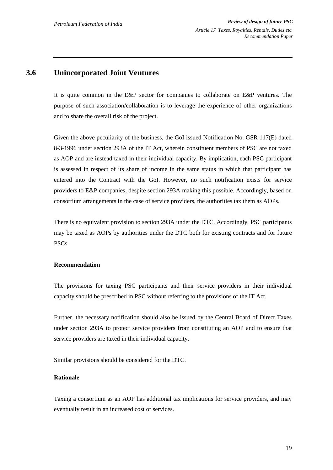### **3.6 Unincorporated Joint Ventures**

It is quite common in the E&P sector for companies to collaborate on E&P ventures. The purpose of such association/collaboration is to leverage the experience of other organizations and to share the overall risk of the project.

Given the above peculiarity of the business, the GoI issued Notification No. GSR 117(E) dated 8-3-1996 under section 293A of the IT Act, wherein constituent members of PSC are not taxed as AOP and are instead taxed in their individual capacity. By implication, each PSC participant is assessed in respect of its share of income in the same status in which that participant has entered into the Contract with the GoI. However, no such notification exists for service providers to E&P companies, despite section 293A making this possible. Accordingly, based on consortium arrangements in the case of service providers, the authorities tax them as AOPs.

There is no equivalent provision to section 293A under the DTC. Accordingly, PSC participants may be taxed as AOPs by authorities under the DTC both for existing contracts and for future PSCs.

#### **Recommendation**

The provisions for taxing PSC participants and their service providers in their individual capacity should be prescribed in PSC without referring to the provisions of the IT Act.

Further, the necessary notification should also be issued by the Central Board of Direct Taxes under section 293A to protect service providers from constituting an AOP and to ensure that service providers are taxed in their individual capacity.

Similar provisions should be considered for the DTC.

#### **Rationale**

Taxing a consortium as an AOP has additional tax implications for service providers, and may eventually result in an increased cost of services.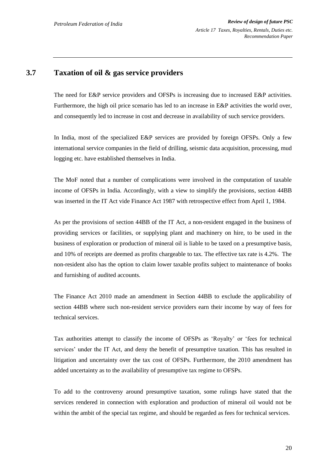### **3.7 Taxation of oil & gas service providers**

The need for E&P service providers and OFSPs is increasing due to increased E&P activities. Furthermore, the high oil price scenario has led to an increase in E&P activities the world over, and consequently led to increase in cost and decrease in availability of such service providers.

In India, most of the specialized E&P services are provided by foreign OFSPs. Only a few international service companies in the field of drilling, seismic data acquisition, processing, mud logging etc. have established themselves in India.

The MoF noted that a number of complications were involved in the computation of taxable income of OFSPs in India. Accordingly, with a view to simplify the provisions, section 44BB was inserted in the IT Act vide Finance Act 1987 with retrospective effect from April 1, 1984.

As per the provisions of section 44BB of the IT Act, a non-resident engaged in the business of providing services or facilities, or supplying plant and machinery on hire, to be used in the business of exploration or production of mineral oil is liable to be taxed on a presumptive basis, and 10% of receipts are deemed as profits chargeable to tax. The effective tax rate is 4.2%. The non-resident also has the option to claim lower taxable profits subject to maintenance of books and furnishing of audited accounts.

The Finance Act 2010 made an amendment in Section 44BB to exclude the applicability of section 44BB where such non-resident service providers earn their income by way of fees for technical services.

Tax authorities attempt to classify the income of OFSPs as "Royalty" or "fees for technical services" under the IT Act, and deny the benefit of presumptive taxation. This has resulted in litigation and uncertainty over the tax cost of OFSPs. Furthermore, the 2010 amendment has added uncertainty as to the availability of presumptive tax regime to OFSPs.

To add to the controversy around presumptive taxation, some rulings have stated that the services rendered in connection with exploration and production of mineral oil would not be within the ambit of the special tax regime, and should be regarded as fees for technical services.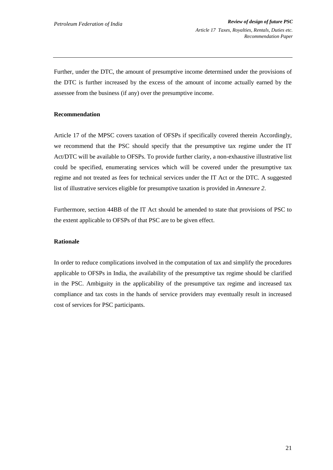Further, under the DTC, the amount of presumptive income determined under the provisions of the DTC is further increased by the excess of the amount of income actually earned by the assessee from the business (if any) over the presumptive income.

#### **Recommendation**

Article 17 of the MPSC covers taxation of OFSPs if specifically covered therein Accordingly, we recommend that the PSC should specify that the presumptive tax regime under the IT Act/DTC will be available to OFSPs. To provide further clarity, a non-exhaustive illustrative list could be specified, enumerating services which will be covered under the presumptive tax regime and not treated as fees for technical services under the IT Act or the DTC. A suggested list of illustrative services eligible for presumptive taxation is provided in *Annexure 2*.

Furthermore, section 44BB of the IT Act should be amended to state that provisions of PSC to the extent applicable to OFSPs of that PSC are to be given effect.

#### **Rationale**

In order to reduce complications involved in the computation of tax and simplify the procedures applicable to OFSPs in India, the availability of the presumptive tax regime should be clarified in the PSC. Ambiguity in the applicability of the presumptive tax regime and increased tax compliance and tax costs in the hands of service providers may eventually result in increased cost of services for PSC participants.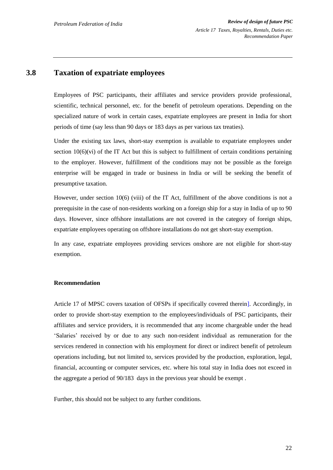### **3.8 Taxation of expatriate employees**

Employees of PSC participants, their affiliates and service providers provide professional, scientific, technical personnel, etc. for the benefit of petroleum operations. Depending on the specialized nature of work in certain cases, expatriate employees are present in India for short periods of time (say less than 90 days or 183 days as per various tax treaties).

Under the existing tax laws, short-stay exemption is available to expatriate employees under section  $10(6)(vi)$  of the IT Act but this is subject to fulfillment of certain conditions pertaining to the employer. However, fulfillment of the conditions may not be possible as the foreign enterprise will be engaged in trade or business in India or will be seeking the benefit of presumptive taxation.

However, under section 10(6) (viii) of the IT Act, fulfillment of the above conditions is not a prerequisite in the case of non-residents working on a foreign ship for a stay in India of up to 90 days. However, since offshore installations are not covered in the category of foreign ships, expatriate employees operating on offshore installations do not get short-stay exemption.

In any case, expatriate employees providing services onshore are not eligible for short-stay exemption.

#### **Recommendation**

Article 17 of MPSC covers taxation of OFSPs if specifically covered therein]. Accordingly, in order to provide short-stay exemption to the employees/individuals of PSC participants, their affiliates and service providers, it is recommended that any income chargeable under the head 'Salaries' received by or due to any such non-resident individual as remuneration for the services rendered in connection with his employment for direct or indirect benefit of petroleum operations including, but not limited to, services provided by the production, exploration, legal, financial, accounting or computer services, etc. where his total stay in India does not exceed in the aggregate a period of 90/183 days in the previous year should be exempt .

Further, this should not be subject to any further conditions.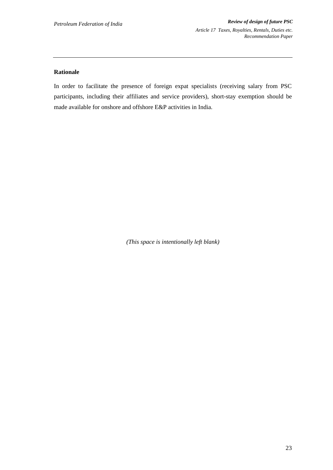#### **Rationale**

In order to facilitate the presence of foreign expat specialists (receiving salary from PSC participants, including their affiliates and service providers), short-stay exemption should be made available for onshore and offshore E&P activities in India.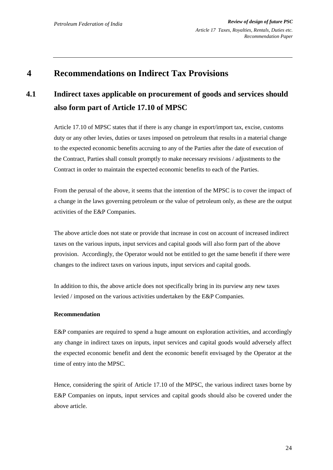## **4 Recommendations on Indirect Tax Provisions**

## **4.1 Indirect taxes applicable on procurement of goods and services should also form part of Article 17.10 of MPSC**

Article 17.10 of MPSC states that if there is any change in export/import tax, excise, customs duty or any other levies, duties or taxes imposed on petroleum that results in a material change to the expected economic benefits accruing to any of the Parties after the date of execution of the Contract, Parties shall consult promptly to make necessary revisions / adjustments to the Contract in order to maintain the expected economic benefits to each of the Parties.

From the perusal of the above, it seems that the intention of the MPSC is to cover the impact of a change in the laws governing petroleum or the value of petroleum only, as these are the output activities of the E&P Companies.

The above article does not state or provide that increase in cost on account of increased indirect taxes on the various inputs, input services and capital goods will also form part of the above provision. Accordingly, the Operator would not be entitled to get the same benefit if there were changes to the indirect taxes on various inputs, input services and capital goods.

In addition to this, the above article does not specifically bring in its purview any new taxes levied / imposed on the various activities undertaken by the E&P Companies.

#### **Recommendation**

E&P companies are required to spend a huge amount on exploration activities, and accordingly any change in indirect taxes on inputs, input services and capital goods would adversely affect the expected economic benefit and dent the economic benefit envisaged by the Operator at the time of entry into the MPSC.

Hence, considering the spirit of Article 17.10 of the MPSC, the various indirect taxes borne by E&P Companies on inputs, input services and capital goods should also be covered under the above article.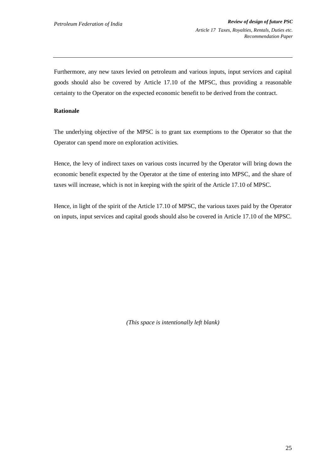Furthermore, any new taxes levied on petroleum and various inputs, input services and capital goods should also be covered by Article 17.10 of the MPSC, thus providing a reasonable certainty to the Operator on the expected economic benefit to be derived from the contract.

#### **Rationale**

The underlying objective of the MPSC is to grant tax exemptions to the Operator so that the Operator can spend more on exploration activities.

Hence, the levy of indirect taxes on various costs incurred by the Operator will bring down the economic benefit expected by the Operator at the time of entering into MPSC, and the share of taxes will increase, which is not in keeping with the spirit of the Article 17.10 of MPSC.

Hence, in light of the spirit of the Article 17.10 of MPSC, the various taxes paid by the Operator on inputs, input services and capital goods should also be covered in Article 17.10 of the MPSC.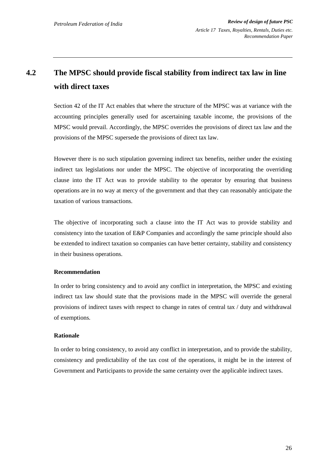## **4.2 The MPSC should provide fiscal stability from indirect tax law in line with direct taxes**

Section 42 of the IT Act enables that where the structure of the MPSC was at variance with the accounting principles generally used for ascertaining taxable income, the provisions of the MPSC would prevail. Accordingly, the MPSC overrides the provisions of direct tax law and the provisions of the MPSC supersede the provisions of direct tax law.

However there is no such stipulation governing indirect tax benefits, neither under the existing indirect tax legislations nor under the MPSC. The objective of incorporating the overriding clause into the IT Act was to provide stability to the operator by ensuring that business operations are in no way at mercy of the government and that they can reasonably anticipate the taxation of various transactions.

The objective of incorporating such a clause into the IT Act was to provide stability and consistency into the taxation of E&P Companies and accordingly the same principle should also be extended to indirect taxation so companies can have better certainty, stability and consistency in their business operations.

#### **Recommendation**

In order to bring consistency and to avoid any conflict in interpretation, the MPSC and existing indirect tax law should state that the provisions made in the MPSC will override the general provisions of indirect taxes with respect to change in rates of central tax / duty and withdrawal of exemptions.

#### **Rationale**

In order to bring consistency, to avoid any conflict in interpretation, and to provide the stability, consistency and predictability of the tax cost of the operations, it might be in the interest of Government and Participants to provide the same certainty over the applicable indirect taxes.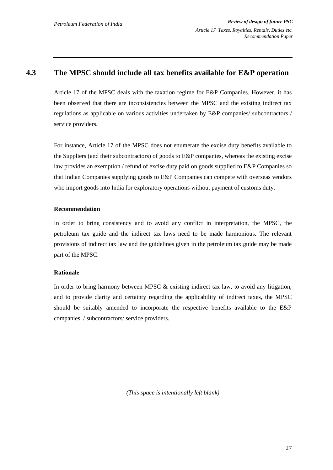### **4.3 The MPSC should include all tax benefits available for E&P operation**

Article 17 of the MPSC deals with the taxation regime for E&P Companies. However, it has been observed that there are inconsistencies between the MPSC and the existing indirect tax regulations as applicable on various activities undertaken by E&P companies/ subcontractors / service providers.

For instance, Article 17 of the MPSC does not enumerate the excise duty benefits available to the Suppliers (and their subcontractors) of goods to E&P companies, whereas the existing excise law provides an exemption / refund of excise duty paid on goods supplied to E&P Companies so that Indian Companies supplying goods to E&P Companies can compete with overseas vendors who import goods into India for exploratory operations without payment of customs duty.

#### **Recommendation**

In order to bring consistency and to avoid any conflict in interpretation, the MPSC, the petroleum tax guide and the indirect tax laws need to be made harmonious. The relevant provisions of indirect tax law and the guidelines given in the petroleum tax guide may be made part of the MPSC.

#### **Rationale**

In order to bring harmony between MPSC & existing indirect tax law, to avoid any litigation, and to provide clarity and certainty regarding the applicability of indirect taxes, the MPSC should be suitably amended to incorporate the respective benefits available to the E&P companies / subcontractors/ service providers.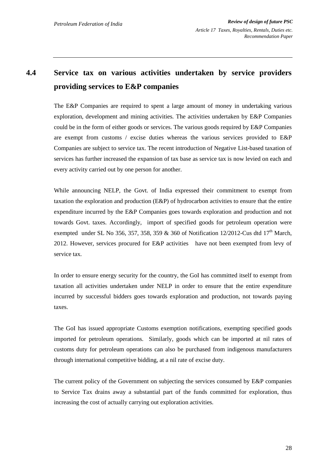## **4.4 Service tax on various activities undertaken by service providers providing services to E&P companies**

The E&P Companies are required to spent a large amount of money in undertaking various exploration, development and mining activities. The activities undertaken by E&P Companies could be in the form of either goods or services. The various goods required by E&P Companies are exempt from customs / excise duties whereas the various services provided to E&P Companies are subject to service tax. The recent introduction of Negative List-based taxation of services has further increased the expansion of tax base as service tax is now levied on each and every activity carried out by one person for another.

While announcing NELP, the Govt. of India expressed their commitment to exempt from taxation the exploration and production (E&P) of hydrocarbon activities to ensure that the entire expenditure incurred by the E&P Companies goes towards exploration and production and not towards Govt. taxes. Accordingly, import of specified goods for petroleum operation were exempted under SL No 356, 357, 358, 359 & 360 of Notification 12/2012-Cus dtd  $17<sup>th</sup>$  March, 2012. However, services procured for E&P activities have not been exempted from levy of service tax.

In order to ensure energy security for the country, the GoI has committed itself to exempt from taxation all activities undertaken under NELP in order to ensure that the entire expenditure incurred by successful bidders goes towards exploration and production, not towards paying taxes.

The GoI has issued appropriate Customs exemption notifications, exempting specified goods imported for petroleum operations. Similarly, goods which can be imported at nil rates of customs duty for petroleum operations can also be purchased from indigenous manufacturers through international competitive bidding, at a nil rate of excise duty.

The current policy of the Government on subjecting the services consumed by E&P companies to Service Tax drains away a substantial part of the funds committed for exploration, thus increasing the cost of actually carrying out exploration activities.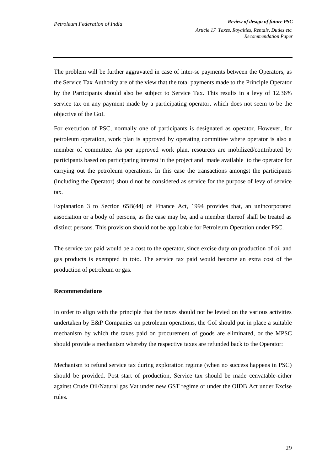The problem will be further aggravated in case of inter-se payments between the Operators, as the Service Tax Authority are of the view that the total payments made to the Principle Operator by the Participants should also be subject to Service Tax. This results in a levy of 12.36% service tax on any payment made by a participating operator, which does not seem to be the objective of the GoI.

For execution of PSC, normally one of participants is designated as operator. However, for petroleum operation, work plan is approved by operating committee where operator is also a member of committee. As per approved work plan, resources are mobilized/contributed by participants based on participating interest in the project and made available to the operator for carrying out the petroleum operations. In this case the transactions amongst the participants (including the Operator) should not be considered as service for the purpose of levy of service tax.

Explanation 3 to Section 65B(44) of Finance Act, 1994 provides that, an unincorporated association or a body of persons, as the case may be, and a member thereof shall be treated as distinct persons. This provision should not be applicable for Petroleum Operation under PSC.

The service tax paid would be a cost to the operator, since excise duty on production of oil and gas products is exempted in toto. The service tax paid would become an extra cost of the production of petroleum or gas.

#### **Recommendations**

In order to align with the principle that the taxes should not be levied on the various activities undertaken by E&P Companies on petroleum operations, the GoI should put in place a suitable mechanism by which the taxes paid on procurement of goods are eliminated, or the MPSC should provide a mechanism whereby the respective taxes are refunded back to the Operator:

Mechanism to refund service tax during exploration regime (when no success happens in PSC) should be provided. Post start of production, Service tax should be made cenvatable-either against Crude Oil/Natural gas Vat under new GST regime or under the OIDB Act under Excise rules.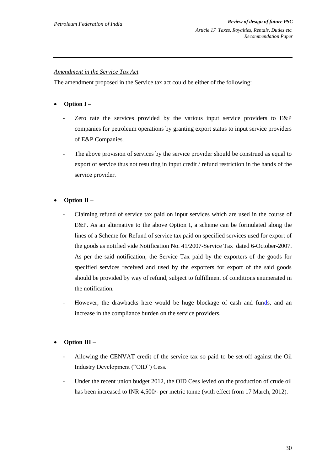#### *Amendment in the Service Tax Act*

The amendment proposed in the Service tax act could be either of the following:

- **Option I**
	- Zero rate the services provided by the various input service providers to E&P companies for petroleum operations by granting export status to input service providers of E&P Companies.
	- The above provision of services by the service provider should be construed as equal to export of service thus not resulting in input credit / refund restriction in the hands of the service provider.
- **Option II**
	- Claiming refund of service tax paid on input services which are used in the course of E&P. As an alternative to the above Option I, a scheme can be formulated along the lines of a Scheme for Refund of service tax paid on specified services used for export of the goods as notified vide Notification No. 41/2007-Service Tax dated 6-October-2007. As per the said notification, the Service Tax paid by the exporters of the goods for specified services received and used by the exporters for export of the said goods should be provided by way of refund, subject to fulfillment of conditions enumerated in the notification.
	- However, the drawbacks here would be huge blockage of cash and funds, and an increase in the compliance burden on the service providers.

#### **Option III** –

- Allowing the CENVAT credit of the service tax so paid to be set-off against the Oil Industry Development ("OID") Cess.
- Under the recent union budget 2012, the OID Cess levied on the production of crude oil has been increased to INR 4,500/- per metric tonne (with effect from 17 March, 2012).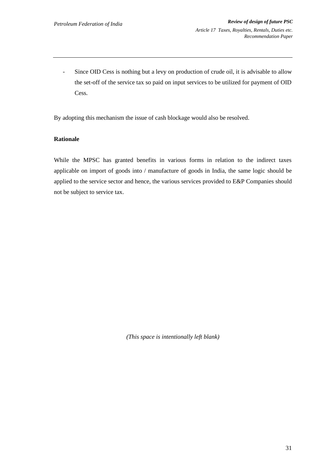- Since OID Cess is nothing but a levy on production of crude oil, it is advisable to allow the set-off of the service tax so paid on input services to be utilized for payment of OID Cess.

By adopting this mechanism the issue of cash blockage would also be resolved.

#### **Rationale**

While the MPSC has granted benefits in various forms in relation to the indirect taxes applicable on import of goods into / manufacture of goods in India, the same logic should be applied to the service sector and hence, the various services provided to E&P Companies should not be subject to service tax.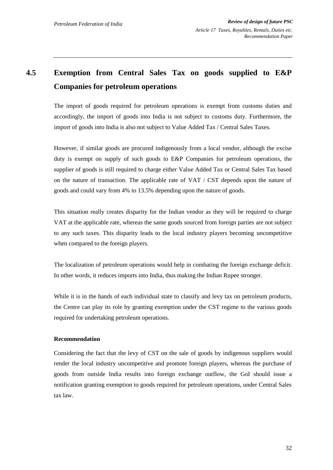## **4.5 Exemption from Central Sales Tax on goods supplied to E&P Companies for petroleum operations**

The import of goods required for petroleum operations is exempt from customs duties and accordingly, the import of goods into India is not subject to customs duty. Furthermore, the import of goods into India is also not subject to Value Added Tax / Central Sales Taxes.

However, if similar goods are procured indigenously from a local vendor, although the excise duty is exempt on supply of such goods to E&P Companies for petroleum operations, the supplier of goods is still required to charge either Value Added Tax or Central Sales Tax based on the nature of transaction. The applicable rate of VAT / CST depends upon the nature of goods and could vary from 4% to 13.5% depending upon the nature of goods.

This situation really creates disparity for the Indian vendor as they will be required to charge VAT at the applicable rate, whereas the same goods sourced from foreign parties are not subject to any such taxes. This disparity leads to the local industry players becoming uncompetitive when compared to the foreign players.

The localization of petroleum operations would help in combating the foreign exchange deficit. In other words, it reduces imports into India, thus making the Indian Rupee stronger.

While it is in the hands of each individual state to classify and levy tax on petroleum products, the Centre can play its role by granting exemption under the CST regime to the various goods required for undertaking petroleum operations.

#### **Recommendation**

Considering the fact that the levy of CST on the sale of goods by indigenous suppliers would render the local industry uncompetitive and promote foreign players, whereas the purchase of goods from outside India results into foreign exchange outflow, the GoI should issue a notification granting exemption to goods required for petroleum operations, under Central Sales tax law.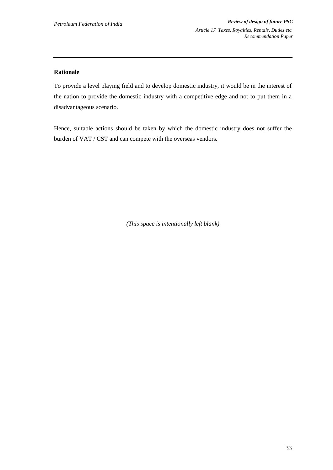#### **Rationale**

To provide a level playing field and to develop domestic industry, it would be in the interest of the nation to provide the domestic industry with a competitive edge and not to put them in a disadvantageous scenario.

Hence, suitable actions should be taken by which the domestic industry does not suffer the burden of VAT / CST and can compete with the overseas vendors.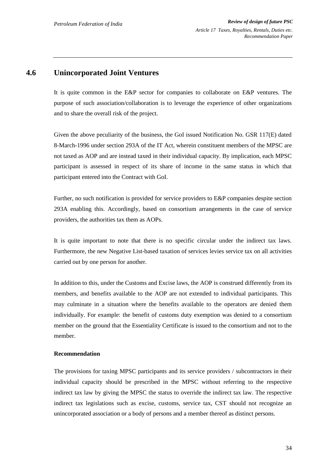### **4.6 Unincorporated Joint Ventures**

It is quite common in the E&P sector for companies to collaborate on E&P ventures. The purpose of such association/collaboration is to leverage the experience of other organizations and to share the overall risk of the project.

Given the above peculiarity of the business, the GoI issued Notification No. GSR 117(E) dated 8-March-1996 under section 293A of the IT Act, wherein constituent members of the MPSC are not taxed as AOP and are instead taxed in their individual capacity. By implication, each MPSC participant is assessed in respect of its share of income in the same status in which that participant entered into the Contract with GoI.

Further, no such notification is provided for service providers to E&P companies despite section 293A enabling this. Accordingly, based on consortium arrangements in the case of service providers, the authorities tax them as AOPs.

It is quite important to note that there is no specific circular under the indirect tax laws. Furthermore, the new Negative List-based taxation of services levies service tax on all activities carried out by one person for another.

In addition to this, under the Customs and Excise laws, the AOP is construed differently from its members, and benefits available to the AOP are not extended to individual participants. This may culminate in a situation where the benefits available to the operators are denied them individually. For example: the benefit of customs duty exemption was denied to a consortium member on the ground that the Essentiality Certificate is issued to the consortium and not to the member.

#### **Recommendation**

The provisions for taxing MPSC participants and its service providers / subcontractors in their individual capacity should be prescribed in the MPSC without referring to the respective indirect tax law by giving the MPSC the status to override the indirect tax law. The respective indirect tax legislations such as excise, customs, service tax, CST should not recognize an unincorporated association or a body of persons and a member thereof as distinct persons.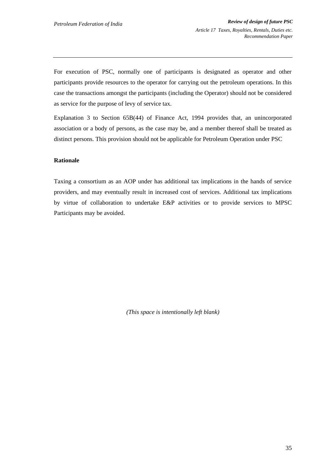For execution of PSC, normally one of participants is designated as operator and other participants provide resources to the operator for carrying out the petroleum operations. In this case the transactions amongst the participants (including the Operator) should not be considered as service for the purpose of levy of service tax.

Explanation 3 to Section 65B(44) of Finance Act, 1994 provides that, an unincorporated association or a body of persons, as the case may be, and a member thereof shall be treated as distinct persons. This provision should not be applicable for Petroleum Operation under PSC

#### **Rationale**

Taxing a consortium as an AOP under has additional tax implications in the hands of service providers, and may eventually result in increased cost of services. Additional tax implications by virtue of collaboration to undertake E&P activities or to provide services to MPSC Participants may be avoided.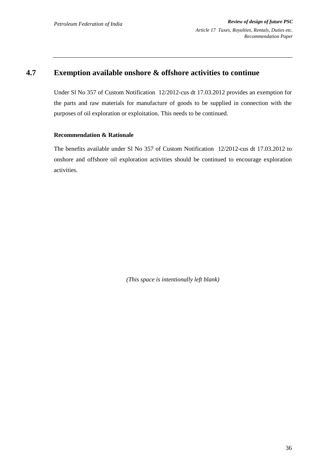## **4.7 Exemption available onshore & offshore activities to continue**

Under Sl No 357 of Custom Notification 12/2012-cus dt 17.03.2012 provides an exemption for the parts and raw materials for manufacture of goods to be supplied in connection with the purposes of oil exploration or exploitation. This needs to be continued.

#### **Recommendation & Rationale**

The benefits available under Sl No 357 of Custom Notification 12/2012-cus dt 17.03.2012 to onshore and offshore oil exploration activities should be continued to encourage exploration activities.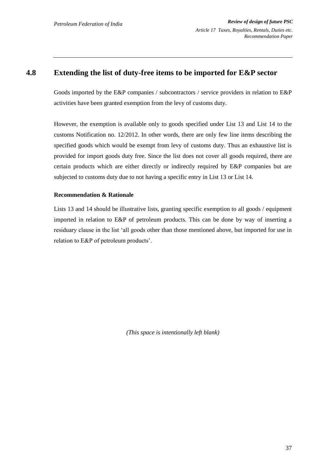### **4.8 Extending the list of duty-free items to be imported for E&P sector**

Goods imported by the E&P companies / subcontractors / service providers in relation to E&P activities have been granted exemption from the levy of customs duty.

However, the exemption is available only to goods specified under List 13 and List 14 to the customs Notification no. 12/2012. In other words, there are only few line items describing the specified goods which would be exempt from levy of customs duty. Thus an exhaustive list is provided for import goods duty free. Since the list does not cover all goods required, there are certain products which are either directly or indirectly required by E&P companies but are subjected to customs duty due to not having a specific entry in List 13 or List 14.

#### **Recommendation & Rationale**

Lists 13 and 14 should be illustrative lists, granting specific exemption to all goods / equipment imported in relation to E&P of petroleum products. This can be done by way of inserting a residuary clause in the list "all goods other than those mentioned above, but imported for use in relation to E&P of petroleum products".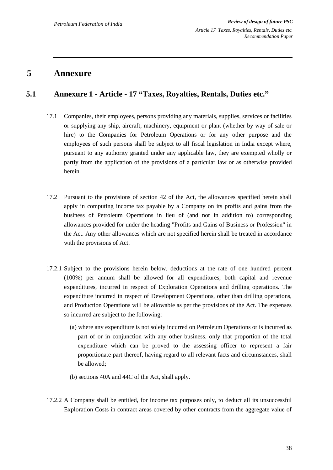## **5 Annexure**

## **5.1 Annexure 1 - Article - 17 "Taxes, Royalties, Rentals, Duties etc."**

- 17.1 Companies, their employees, persons providing any materials, supplies, services or facilities or supplying any ship, aircraft, machinery, equipment or plant (whether by way of sale or hire) to the Companies for Petroleum Operations or for any other purpose and the employees of such persons shall be subject to all fiscal legislation in India except where, pursuant to any authority granted under any applicable law, they are exempted wholly or partly from the application of the provisions of a particular law or as otherwise provided herein.
- 17.2 Pursuant to the provisions of section 42 of the Act, the allowances specified herein shall apply in computing income tax payable by a Company on its profits and gains from the business of Petroleum Operations in lieu of (and not in addition to) corresponding allowances provided for under the heading "Profits and Gains of Business or Profession" in the Act. Any other allowances which are not specified herein shall be treated in accordance with the provisions of Act.
- 17.2.1 Subject to the provisions herein below, deductions at the rate of one hundred percent (100%) per annum shall be allowed for all expenditures, both capital and revenue expenditures, incurred in respect of Exploration Operations and drilling operations. The expenditure incurred in respect of Development Operations, other than drilling operations, and Production Operations will be allowable as per the provisions of the Act. The expenses so incurred are subject to the following:
	- (a) where any expenditure is not solely incurred on Petroleum Operations or is incurred as part of or in conjunction with any other business, only that proportion of the total expenditure which can be proved to the assessing officer to represent a fair proportionate part thereof, having regard to all relevant facts and circumstances, shall be allowed;
	- (b) sections 40A and 44C of the Act, shall apply.
- 17.2.2 A Company shall be entitled, for income tax purposes only, to deduct all its unsuccessful Exploration Costs in contract areas covered by other contracts from the aggregate value of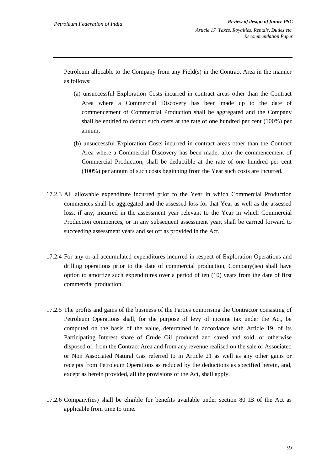Petroleum allocable to the Company from any Field(s) in the Contract Area in the manner as follows:

- (a) unsuccessful Exploration Costs incurred in contract areas other than the Contract Area where a Commercial Discovery has been made up to the date of commencement of Commercial Production shall be aggregated and the Company shall be entitled to deduct such costs at the rate of one hundred per cent (100%) per annum;
- (b) unsuccessful Exploration Costs incurred in contract areas other than the Contract Area where a Commercial Discovery has been made, after the commencement of Commercial Production, shall be deductible at the rate of one hundred per cent (100%) per annum of such costs beginning from the Year such costs are incurred.
- 17.2.3 All allowable expenditure incurred prior to the Year in which Commercial Production commences shall be aggregated and the assessed loss for that Year as well as the assessed loss, if any, incurred in the assessment year relevant to the Year in which Commercial Production commences, or in any subsequent assessment year, shall be carried forward to succeeding assessment years and set off as provided in the Act.
- 17.2.4 For any or all accumulated expenditures incurred in respect of Exploration Operations and drilling operations prior to the date of commercial production, Company(ies) shall have option to amortize such expenditures over a period of ten (10) years from the date of first commercial production.
- 17.2.5 The profits and gains of the business of the Parties comprising the Contractor consisting of Petroleum Operations shall, for the purpose of levy of income tax under the Act, be computed on the basis of the value, determined in accordance with Article 19, of its Participating Interest share of Crude Oil produced and saved and sold, or otherwise disposed of, from the Contract Area and from any revenue realised on the sale of Associated or Non Associated Natural Gas referred to in Article 21 as well as any other gains or receipts from Petroleum Operations as reduced by the deductions as specified herein, and, except as herein provided, all the provisions of the Act, shall apply.
- 17.2.6 Company(ies) shall be eligible for benefits available under section 80 IB of the Act as applicable from time to time.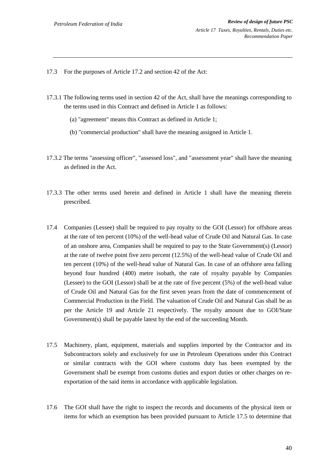- 17.3 For the purposes of Article 17.2 and section 42 of the Act:
- 17.3.1 The following terms used in section 42 of the Act, shall have the meanings corresponding to the terms used in this Contract and defined in Article 1 as follows:
	- (a) "agreement" means this Contract as defined in Article 1;
	- (b) "commercial production" shall have the meaning assigned in Article 1.
- 17.3.2 The terms "assessing officer", "assessed loss", and "assessment year" shall have the meaning as defined in the Act.
- 17.3.3 The other terms used herein and defined in Article 1 shall have the meaning therein prescribed.
- 17.4 Companies (Lessee) shall be required to pay royalty to the GOI (Lessor) for offshore areas at the rate of ten percent (10%) of the well-head value of Crude Oil and Natural Gas. In case of an onshore area, Companies shall be required to pay to the State Government(s) (Lessor) at the rate of twelve point five zero percent (12.5%) of the well-head value of Crude Oil and ten percent (10%) of the well-head value of Natural Gas. In case of an offshore area falling beyond four hundred (400) metre isobath, the rate of royalty payable by Companies (Lessee) to the GOI (Lessor) shall be at the rate of five percent (5%) of the well-head value of Crude Oil and Natural Gas for the first seven years from the date of commencement of Commercial Production in the Field. The valuation of Crude Oil and Natural Gas shall be as per the Article 19 and Article 21 respectively. The royalty amount due to GOI/State Government(s) shall be payable latest by the end of the succeeding Month.
- 17.5 Machinery, plant, equipment, materials and supplies imported by the Contractor and its Subcontractors solely and exclusively for use in Petroleum Operations under this Contract or similar contracts with the GOI where customs duty has been exempted by the Government shall be exempt from customs duties and export duties or other charges on reexportation of the said items in accordance with applicable legislation.
- 17.6 The GOI shall have the right to inspect the records and documents of the physical item or items for which an exemption has been provided pursuant to Article 17.5 to determine that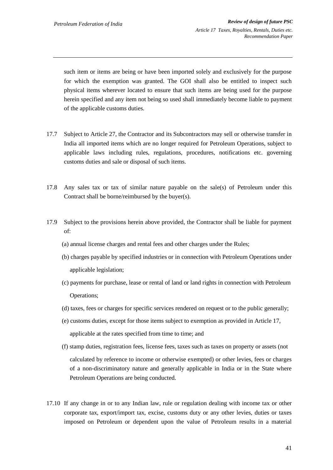such item or items are being or have been imported solely and exclusively for the purpose for which the exemption was granted. The GOI shall also be entitled to inspect such physical items wherever located to ensure that such items are being used for the purpose herein specified and any item not being so used shall immediately become liable to payment of the applicable customs duties.

- 17.7 Subject to Article 27, the Contractor and its Subcontractors may sell or otherwise transfer in India all imported items which are no longer required for Petroleum Operations, subject to applicable laws including rules, regulations, procedures, notifications etc. governing customs duties and sale or disposal of such items.
- 17.8 Any sales tax or tax of similar nature payable on the sale(s) of Petroleum under this Contract shall be borne/reimbursed by the buyer(s).
- 17.9 Subject to the provisions herein above provided, the Contractor shall be liable for payment of:
	- (a) annual license charges and rental fees and other charges under the Rules;
	- (b) charges payable by specified industries or in connection with Petroleum Operations under applicable legislation;
	- (c) payments for purchase, lease or rental of land or land rights in connection with Petroleum Operations;
	- (d) taxes, fees or charges for specific services rendered on request or to the public generally;
	- (e) customs duties, except for those items subject to exemption as provided in Article 17, applicable at the rates specified from time to time; and
	- (f) stamp duties, registration fees, license fees, taxes such as taxes on property or assets (not

calculated by reference to income or otherwise exempted) or other levies, fees or charges of a non-discriminatory nature and generally applicable in India or in the State where Petroleum Operations are being conducted.

17.10 If any change in or to any Indian law, rule or regulation dealing with income tax or other corporate tax, export/import tax, excise, customs duty or any other levies, duties or taxes imposed on Petroleum or dependent upon the value of Petroleum results in a material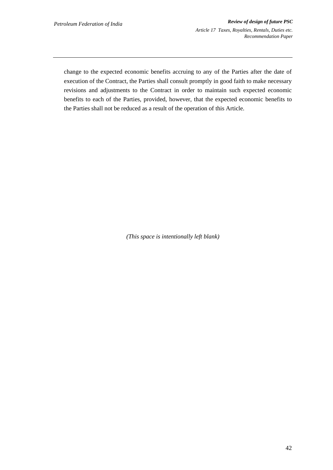change to the expected economic benefits accruing to any of the Parties after the date of execution of the Contract, the Parties shall consult promptly in good faith to make necessary revisions and adjustments to the Contract in order to maintain such expected economic benefits to each of the Parties, provided, however, that the expected economic benefits to the Parties shall not be reduced as a result of the operation of this Article.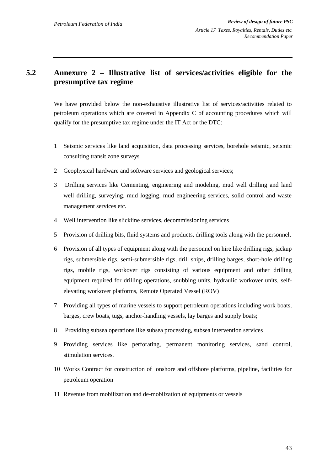## **5.2 Annexure 2 – Illustrative list of services/activities eligible for the presumptive tax regime**

We have provided below the non-exhaustive illustrative list of services/activities related to petroleum operations which are covered in Appendix C of accounting procedures which will qualify for the presumptive tax regime under the IT Act or the DTC:

- 1 Seismic services like land acquisition, data processing services, borehole seismic, seismic consulting transit zone surveys
- 2 Geophysical hardware and software services and geological services;
- 3 Drilling services like Cementing, engineering and modeling, mud well drilling and land well drilling, surveying, mud logging, mud engineering services, solid control and waste management services etc.
- 4 Well intervention like slickline services, decommissioning services
- 5 Provision of drilling bits, fluid systems and products, drilling tools along with the personnel,
- 6 Provision of all types of equipment along with the personnel on hire like drilling rigs, jackup rigs, submersible rigs, semi-submersible rigs, drill ships, drilling barges, short-hole drilling rigs, mobile rigs, workover rigs consisting of various equipment and other drilling equipment required for drilling operations, snubbing units, hydraulic workover units, selfelevating workover platforms, Remote Operated Vessel (ROV)
- 7 Providing all types of marine vessels to support petroleum operations including work boats, barges, crew boats, tugs, anchor-handling vessels, lay barges and supply boats;
- 8 Providing subsea operations like subsea processing, subsea intervention services
- 9 Providing services like perforating, permanent monitoring services, sand control, stimulation services.
- 10 Works Contract for construction of onshore and offshore platforms, pipeline, facilities for petroleum operation
- 11 Revenue from mobilization and de-mobilzation of equipments or vessels